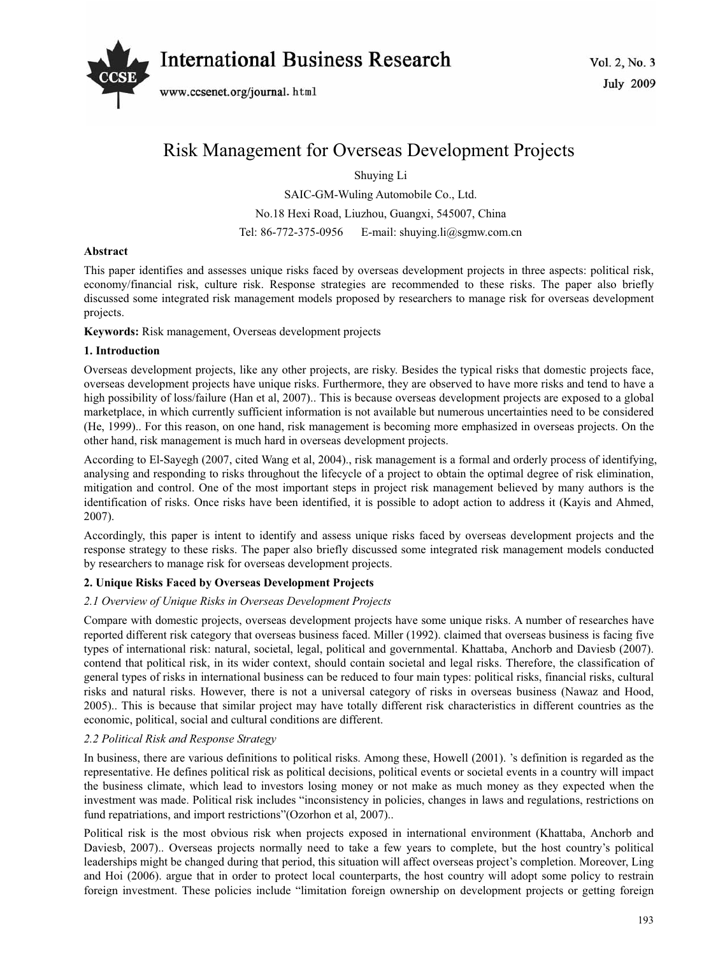# *International Business Research*  $\frac{1}{2}$  Vol. 2, No. 3



# Risk Management for Overseas Development Projects

Shuying Li

SAIC-GM-Wuling Automobile Co., Ltd.

No.18 Hexi Road, Liuzhou, Guangxi, 545007, China

Tel: 86-772-375-0956 E-mail: shuying.li@sgmw.com.cn

# **Abstract**

This paper identifies and assesses unique risks faced by overseas development projects in three aspects: political risk, economy/financial risk, culture risk. Response strategies are recommended to these risks. The paper also briefly discussed some integrated risk management models proposed by researchers to manage risk for overseas development projects.

**Keywords:** Risk management, Overseas development projects

## **1. Introduction**

Overseas development projects, like any other projects, are risky. Besides the typical risks that domestic projects face, overseas development projects have unique risks. Furthermore, they are observed to have more risks and tend to have a high possibility of loss/failure (Han et al, 2007). This is because overseas development projects are exposed to a global marketplace, in which currently sufficient information is not available but numerous uncertainties need to be considered (He, 1999).. For this reason, on one hand, risk management is becoming more emphasized in overseas projects. On the other hand, risk management is much hard in overseas development projects.

According to El-Sayegh (2007, cited Wang et al, 2004)., risk management is a formal and orderly process of identifying, analysing and responding to risks throughout the lifecycle of a project to obtain the optimal degree of risk elimination, mitigation and control. One of the most important steps in project risk management believed by many authors is the identification of risks. Once risks have been identified, it is possible to adopt action to address it (Kayis and Ahmed, 2007).

Accordingly, this paper is intent to identify and assess unique risks faced by overseas development projects and the response strategy to these risks. The paper also briefly discussed some integrated risk management models conducted by researchers to manage risk for overseas development projects.

# **2. Unique Risks Faced by Overseas Development Projects**

## *2.1 Overview of Unique Risks in Overseas Development Projects*

Compare with domestic projects, overseas development projects have some unique risks. A number of researches have reported different risk category that overseas business faced. Miller (1992). claimed that overseas business is facing five types of international risk: natural, societal, legal, political and governmental. Khattaba, Anchorb and Daviesb (2007). contend that political risk, in its wider context, should contain societal and legal risks. Therefore, the classification of general types of risks in international business can be reduced to four main types: political risks, financial risks, cultural risks and natural risks. However, there is not a universal category of risks in overseas business (Nawaz and Hood, 2005).. This is because that similar project may have totally different risk characteristics in different countries as the economic, political, social and cultural conditions are different.

## *2.2 Political Risk and Response Strategy*

In business, there are various definitions to political risks. Among these, Howell (2001). 's definition is regarded as the representative. He defines political risk as political decisions, political events or societal events in a country will impact the business climate, which lead to investors losing money or not make as much money as they expected when the investment was made. Political risk includes "inconsistency in policies, changes in laws and regulations, restrictions on fund repatriations, and import restrictions"(Ozorhon et al, 2007)..

Political risk is the most obvious risk when projects exposed in international environment (Khattaba, Anchorb and Daviesb, 2007).. Overseas projects normally need to take a few years to complete, but the host country's political leaderships might be changed during that period, this situation will affect overseas project's completion. Moreover, Ling and Hoi (2006). argue that in order to protect local counterparts, the host country will adopt some policy to restrain foreign investment. These policies include "limitation foreign ownership on development projects or getting foreign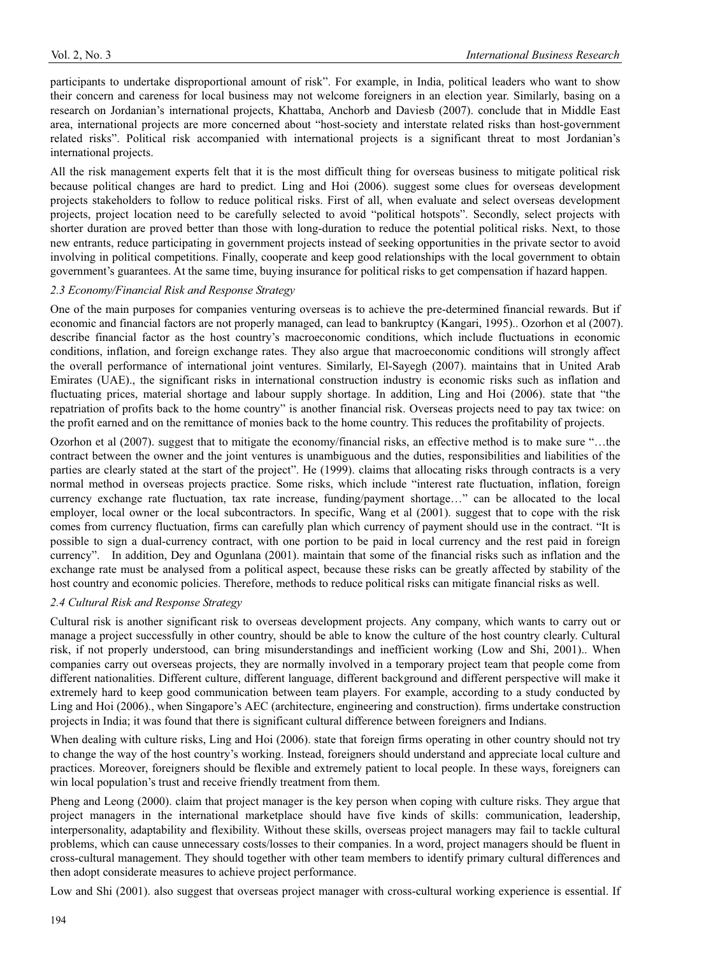participants to undertake disproportional amount of risk". For example, in India, political leaders who want to show their concern and careness for local business may not welcome foreigners in an election year. Similarly, basing on a research on Jordanian's international projects, Khattaba, Anchorb and Daviesb (2007). conclude that in Middle East area, international projects are more concerned about "host-society and interstate related risks than host-government related risks". Political risk accompanied with international projects is a significant threat to most Jordanian's international projects.

All the risk management experts felt that it is the most difficult thing for overseas business to mitigate political risk because political changes are hard to predict. Ling and Hoi (2006). suggest some clues for overseas development projects stakeholders to follow to reduce political risks. First of all, when evaluate and select overseas development projects, project location need to be carefully selected to avoid "political hotspots". Secondly, select projects with shorter duration are proved better than those with long-duration to reduce the potential political risks. Next, to those new entrants, reduce participating in government projects instead of seeking opportunities in the private sector to avoid involving in political competitions. Finally, cooperate and keep good relationships with the local government to obtain government's guarantees. At the same time, buying insurance for political risks to get compensation if hazard happen.

#### *2.3 Economy/Financial Risk and Response Strategy*

One of the main purposes for companies venturing overseas is to achieve the pre-determined financial rewards. But if economic and financial factors are not properly managed, can lead to bankruptcy (Kangari, 1995).. Ozorhon et al (2007). describe financial factor as the host country's macroeconomic conditions, which include fluctuations in economic conditions, inflation, and foreign exchange rates. They also argue that macroeconomic conditions will strongly affect the overall performance of international joint ventures. Similarly, El-Sayegh (2007). maintains that in United Arab Emirates (UAE)., the significant risks in international construction industry is economic risks such as inflation and fluctuating prices, material shortage and labour supply shortage. In addition, Ling and Hoi (2006). state that "the repatriation of profits back to the home country" is another financial risk. Overseas projects need to pay tax twice: on the profit earned and on the remittance of monies back to the home country. This reduces the profitability of projects.

Ozorhon et al (2007). suggest that to mitigate the economy/financial risks, an effective method is to make sure "…the contract between the owner and the joint ventures is unambiguous and the duties, responsibilities and liabilities of the parties are clearly stated at the start of the project". He (1999). claims that allocating risks through contracts is a very normal method in overseas projects practice. Some risks, which include "interest rate fluctuation, inflation, foreign currency exchange rate fluctuation, tax rate increase, funding/payment shortage…" can be allocated to the local employer, local owner or the local subcontractors. In specific, Wang et al (2001). suggest that to cope with the risk comes from currency fluctuation, firms can carefully plan which currency of payment should use in the contract. "It is possible to sign a dual-currency contract, with one portion to be paid in local currency and the rest paid in foreign currency". In addition, Dey and Ogunlana (2001). maintain that some of the financial risks such as inflation and the exchange rate must be analysed from a political aspect, because these risks can be greatly affected by stability of the host country and economic policies. Therefore, methods to reduce political risks can mitigate financial risks as well.

#### *2.4 Cultural Risk and Response Strategy*

Cultural risk is another significant risk to overseas development projects. Any company, which wants to carry out or manage a project successfully in other country, should be able to know the culture of the host country clearly. Cultural risk, if not properly understood, can bring misunderstandings and inefficient working (Low and Shi, 2001).. When companies carry out overseas projects, they are normally involved in a temporary project team that people come from different nationalities. Different culture, different language, different background and different perspective will make it extremely hard to keep good communication between team players. For example, according to a study conducted by Ling and Hoi (2006)., when Singapore's AEC (architecture, engineering and construction). firms undertake construction projects in India; it was found that there is significant cultural difference between foreigners and Indians.

When dealing with culture risks, Ling and Hoi (2006). state that foreign firms operating in other country should not try to change the way of the host country's working. Instead, foreigners should understand and appreciate local culture and practices. Moreover, foreigners should be flexible and extremely patient to local people. In these ways, foreigners can win local population's trust and receive friendly treatment from them.

Pheng and Leong (2000). claim that project manager is the key person when coping with culture risks. They argue that project managers in the international marketplace should have five kinds of skills: communication, leadership, interpersonality, adaptability and flexibility. Without these skills, overseas project managers may fail to tackle cultural problems, which can cause unnecessary costs/losses to their companies. In a word, project managers should be fluent in cross-cultural management. They should together with other team members to identify primary cultural differences and then adopt considerate measures to achieve project performance.

Low and Shi (2001). also suggest that overseas project manager with cross-cultural working experience is essential. If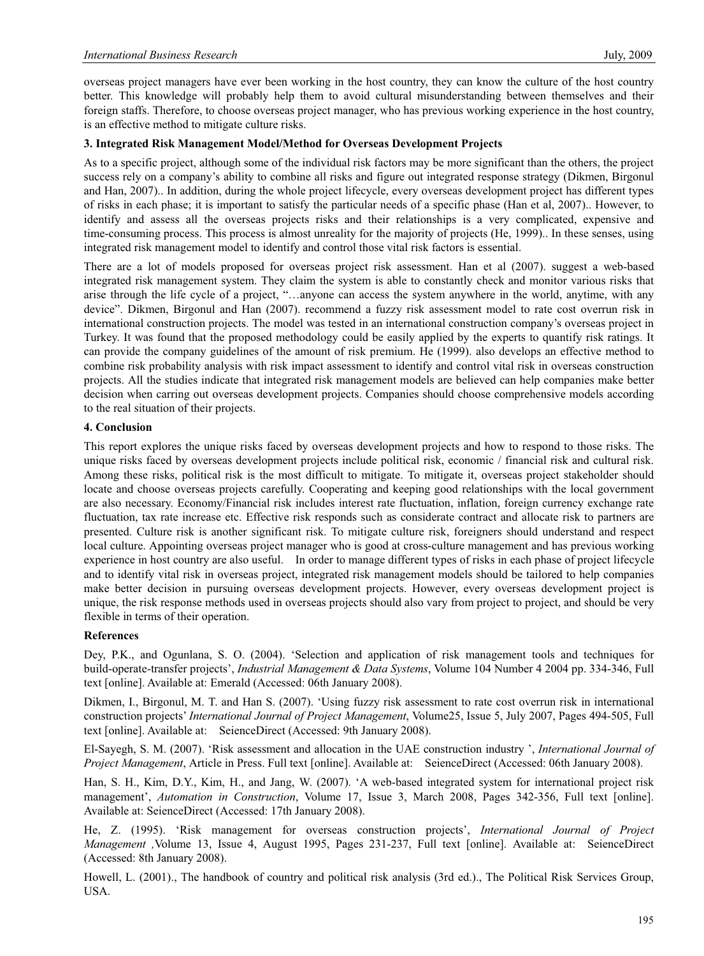overseas project managers have ever been working in the host country, they can know the culture of the host country better. This knowledge will probably help them to avoid cultural misunderstanding between themselves and their foreign staffs. Therefore, to choose overseas project manager, who has previous working experience in the host country, is an effective method to mitigate culture risks.

#### **3. Integrated Risk Management Model/Method for Overseas Development Projects**

As to a specific project, although some of the individual risk factors may be more significant than the others, the project success rely on a company's ability to combine all risks and figure out integrated response strategy (Dikmen, Birgonul and Han, 2007).. In addition, during the whole project lifecycle, every overseas development project has different types of risks in each phase; it is important to satisfy the particular needs of a specific phase (Han et al, 2007).. However, to identify and assess all the overseas projects risks and their relationships is a very complicated, expensive and time-consuming process. This process is almost unreality for the majority of projects (He, 1999).. In these senses, using integrated risk management model to identify and control those vital risk factors is essential.

There are a lot of models proposed for overseas project risk assessment. Han et al (2007). suggest a web-based integrated risk management system. They claim the system is able to constantly check and monitor various risks that arise through the life cycle of a project, "…anyone can access the system anywhere in the world, anytime, with any device". Dikmen, Birgonul and Han (2007). recommend a fuzzy risk assessment model to rate cost overrun risk in international construction projects. The model was tested in an international construction company's overseas project in Turkey. It was found that the proposed methodology could be easily applied by the experts to quantify risk ratings. It can provide the company guidelines of the amount of risk premium. He (1999). also develops an effective method to combine risk probability analysis with risk impact assessment to identify and control vital risk in overseas construction projects. All the studies indicate that integrated risk management models are believed can help companies make better decision when carring out overseas development projects. Companies should choose comprehensive models according to the real situation of their projects.

#### **4. Conclusion**

This report explores the unique risks faced by overseas development projects and how to respond to those risks. The unique risks faced by overseas development projects include political risk, economic / financial risk and cultural risk. Among these risks, political risk is the most difficult to mitigate. To mitigate it, overseas project stakeholder should locate and choose overseas projects carefully. Cooperating and keeping good relationships with the local government are also necessary. Economy/Financial risk includes interest rate fluctuation, inflation, foreign currency exchange rate fluctuation, tax rate increase etc. Effective risk responds such as considerate contract and allocate risk to partners are presented. Culture risk is another significant risk. To mitigate culture risk, foreigners should understand and respect local culture. Appointing overseas project manager who is good at cross-culture management and has previous working experience in host country are also useful. In order to manage different types of risks in each phase of project lifecycle and to identify vital risk in overseas project, integrated risk management models should be tailored to help companies make better decision in pursuing overseas development projects. However, every overseas development project is unique, the risk response methods used in overseas projects should also vary from project to project, and should be very flexible in terms of their operation.

## **References**

Dey, P.K., and Ogunlana, S. O. (2004). 'Selection and application of risk management tools and techniques for build-operate-transfer projects', *Industrial Management & Data Systems*, Volume 104 Number 4 2004 pp. 334-346, Full text [online]. Available at: Emerald (Accessed: 06th January 2008).

Dikmen, I., Birgonul, M. T. and Han S. (2007). 'Using fuzzy risk assessment to rate cost overrun risk in international construction projects' *International Journal of Project Management*, Volume25, Issue 5, July 2007, Pages 494-505, Full text [online]. Available at: SeienceDirect (Accessed: 9th January 2008).

El-Sayegh, S. M. (2007). 'Risk assessment and allocation in the UAE construction industry ', *International Journal of Project Management*, Article in Press. Full text [online]. Available at: SeienceDirect (Accessed: 06th January 2008).

Han, S. H., Kim, D.Y., Kim, H., and Jang, W. (2007). 'A web-based integrated system for international project risk management', *Automation in Construction*, Volume 17, Issue 3, March 2008, Pages 342-356, Full text [online]. Available at: SeienceDirect (Accessed: 17th January 2008).

He, Z. (1995). 'Risk management for overseas construction projects', *International Journal of Project Management ,*Volume 13, Issue 4, August 1995, Pages 231-237, Full text [online]. Available at: SeienceDirect (Accessed: 8th January 2008).

Howell, L. (2001)., The handbook of country and political risk analysis (3rd ed.)., The Political Risk Services Group, USA.